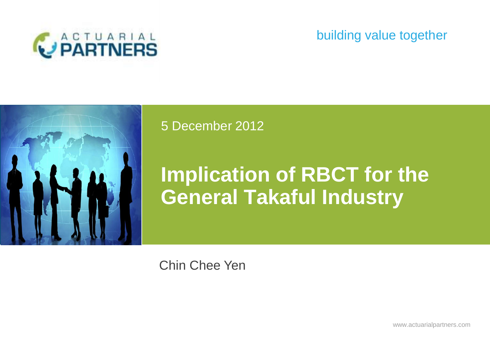

## building value together



### 5 December 2012

# **Implication of RBCT for the General Takaful Industry**

Chin Chee Yen

www.actuarialpartners.com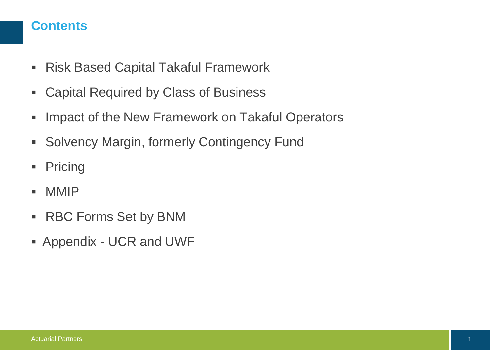#### **Contents**

- Risk Based Capital Takaful Framework
- Capital Required by Class of Business
- **Impact of the New Framework on Takaful Operators**
- **Solvency Margin, formerly Contingency Fund**
- **•** Pricing
- $-MMIP$
- RBC Forms Set by BNM
- Appendix UCR and UWF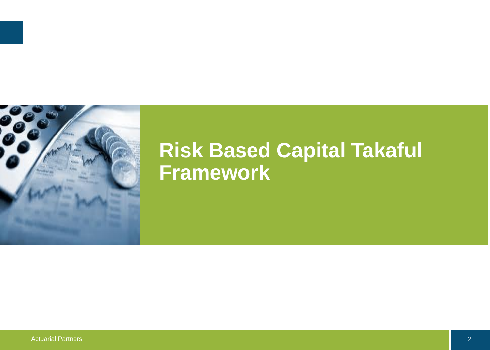

# **Risk Based Capital Takaful Framework**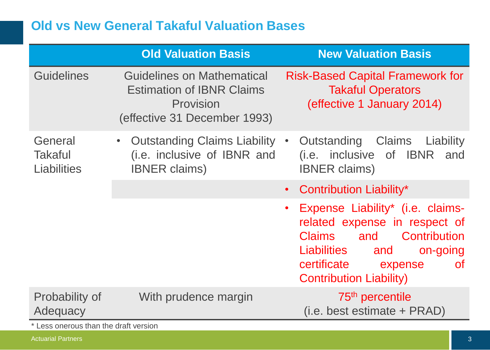## **Old vs New General Takaful Valuation Bases**

|                                                                     | <b>Old Valuation Basis</b>                                                                                  | <b>New Valuation Basis</b>                                                                                                                                                                                           |
|---------------------------------------------------------------------|-------------------------------------------------------------------------------------------------------------|----------------------------------------------------------------------------------------------------------------------------------------------------------------------------------------------------------------------|
| <b>Guidelines</b>                                                   | Guidelines on Mathematical<br><b>Estimation of IBNR Claims</b><br>Provision<br>(effective 31 December 1993) | <b>Risk-Based Capital Framework for</b><br><b>Takaful Operators</b><br>(effective 1 January 2014)                                                                                                                    |
| General<br><b>Takaful</b><br><b>Liabilities</b>                     | Outstanding Claims Liability •<br>$\bullet$<br>(i.e. inclusive of IBNR and<br><b>IBNER claims)</b>          | Outstanding Claims Liability<br>(i.e. inclusive of IBNR and<br><b>IBNER claims)</b>                                                                                                                                  |
|                                                                     |                                                                                                             | Contribution Liability*<br>$\bullet$                                                                                                                                                                                 |
|                                                                     |                                                                                                             | Expense Liability* (i.e. claims-<br>$\bullet$<br>related expense in respect of<br>Claims<br>and Contribution<br>Liabilities<br>and<br>on-going<br>certificate expense<br><b>of</b><br><b>Contribution Liability)</b> |
| Probability of<br>Adequacy<br>* Lass species than the dual transfer | With prudence margin                                                                                        | 75 <sup>th</sup> percentile<br>$(i.e. best estimate + PRAD)$                                                                                                                                                         |

Less onerous than the draft version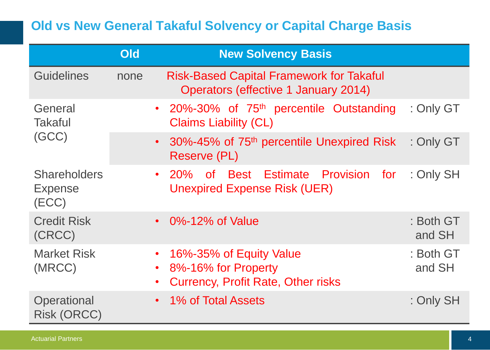# **Old vs New General Takaful Solvency or Capital Charge Basis**

|                                                | <b>Old</b>  | <b>New Solvency Basis</b>                                                                   |                     |
|------------------------------------------------|-------------|---------------------------------------------------------------------------------------------|---------------------|
| <b>Guidelines</b>                              | none        | <b>Risk-Based Capital Framework for Takaful</b><br>Operators (effective 1 January 2014)     |                     |
| General<br><b>Takaful</b><br>(GCC)             |             | • 20%-30% of 75 <sup>th</sup> percentile Outstanding<br><b>Claims Liability (CL)</b>        | : Only GT           |
|                                                | $\bullet$ . | 30%-45% of 75 <sup>th</sup> percentile Unexpired Risk<br><b>Reserve (PL)</b>                | : Only GT           |
| <b>Shareholders</b><br><b>Expense</b><br>(ECC) |             | of Best Estimate Provision for<br>$\cdot$ 20%<br><b>Unexpired Expense Risk (UER)</b>        | : Only SH           |
| <b>Credit Risk</b><br>(CRCC)                   | $\bullet$   | 0%-12% of Value                                                                             | : Both GT<br>and SH |
| <b>Market Risk</b><br>(MRCC)                   | $\bullet$   | 16%-35% of Equity Value<br>8%-16% for Property<br><b>Currency, Profit Rate, Other risks</b> | : Both GT<br>and SH |
| Operational<br><b>Risk (ORCC)</b>              |             | • 1% of Total Assets                                                                        | : Only SH           |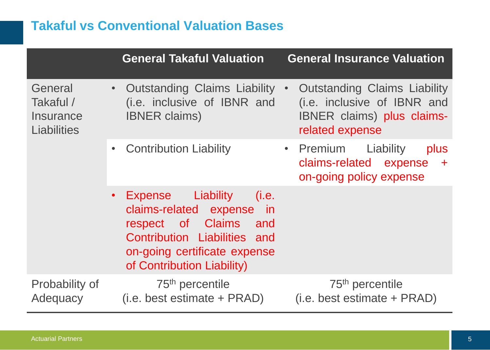# **Takaful vs Conventional Valuation Bases**

|                                                         | <b>General Takaful Valuation</b>                                                                                                                                                                   | <b>General Insurance Valuation</b>                                                                                                      |
|---------------------------------------------------------|----------------------------------------------------------------------------------------------------------------------------------------------------------------------------------------------------|-----------------------------------------------------------------------------------------------------------------------------------------|
| General<br>Takaful /<br>Insurance<br><b>Liabilities</b> | • Outstanding Claims Liability<br>(i.e. inclusive of IBNR and<br><b>IBNER claims)</b>                                                                                                              | <b>Outstanding Claims Liability</b><br>$\bullet$<br>(i.e. inclusive of IBNR and<br><b>IBNER</b> claims) plus claims-<br>related expense |
|                                                         | <b>Contribution Liability</b>                                                                                                                                                                      | • Premium<br>Liability<br>plus<br>claims-related expense +<br>on-going policy expense                                                   |
|                                                         | <b>Expense</b> Liability<br>(i.e.<br>$\bullet$<br>claims-related expense in<br>respect of Claims and<br>Contribution Liabilities and<br>on-going certificate expense<br>of Contribution Liability) |                                                                                                                                         |
| Probability of<br>Adequacy                              | 75 <sup>th</sup> percentile<br>$(i.e. best estimate + PRAD)$                                                                                                                                       | 75 <sup>th</sup> percentile<br>(i.e. best estimate + PRAD)                                                                              |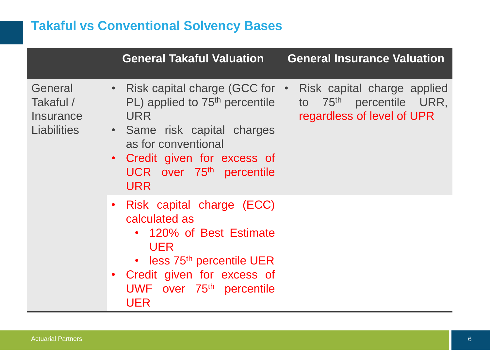# **Takaful vs Conventional Solvency Bases**

|                                                         | <b>General Takaful Valuation</b>                                                                                                                                                                                                                  | <b>General Insurance Valuation</b>                                                               |
|---------------------------------------------------------|---------------------------------------------------------------------------------------------------------------------------------------------------------------------------------------------------------------------------------------------------|--------------------------------------------------------------------------------------------------|
| General<br>Takaful /<br>Insurance<br><b>Liabilities</b> | • Risk capital charge (GCC for $\cdot$<br>$PL$ ) applied to 75 <sup>th</sup> percentile<br><b>URR</b><br>• Same risk capital charges<br>as for conventional<br>• Credit given for excess of<br>UCR over 75 <sup>th</sup> percentile<br><b>URR</b> | Risk capital charge applied<br>to 75 <sup>th</sup> percentile URR,<br>regardless of level of UPR |
|                                                         | • Risk capital charge (ECC)<br>calculated as<br>• 120% of Best Estimate<br><b>UER</b><br>• less 75 <sup>th</sup> percentile UER<br>• Credit given for excess of<br>UWF over 75 <sup>th</sup> percentile<br>UER                                    |                                                                                                  |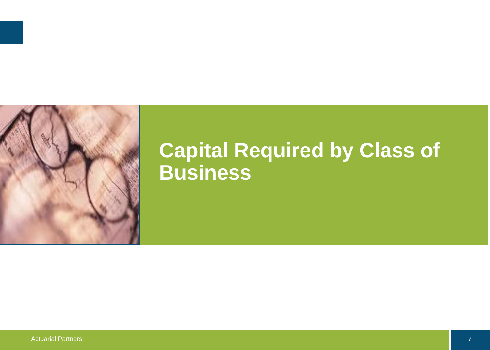

# **Capital Required by Class of Business**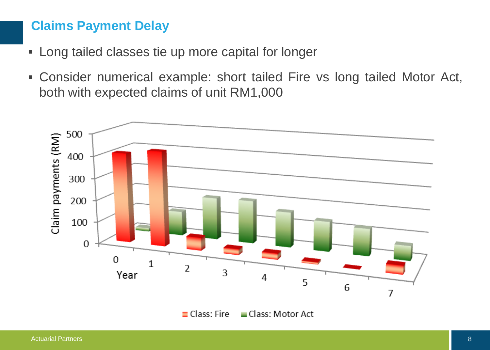#### **Claims Payment Delay**

- **Long tailed classes tie up more capital for longer**
- Consider numerical example: short tailed Fire vs long tailed Motor Act, both with expected claims of unit RM1,000



 $\blacksquare$  Class: Fire Class: Motor Act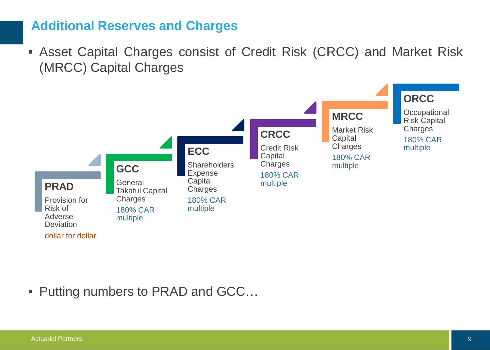### **Additional Reserves and Charges**

 Asset Capital Charges consist of Credit Risk (CRCC) and Market Risk (MRCC) Capital Charges



■ Putting numbers to PRAD and GCC...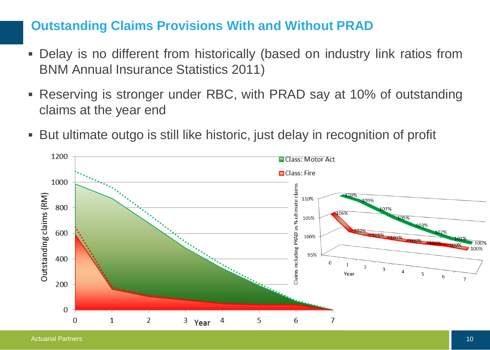### **Outstanding Claims Provisions With and Without PRAD**

- Delay is no different from historically (based on industry link ratios from BNM Annual Insurance Statistics 2011)
- Reserving is stronger under RBC, with PRAD say at 10% of outstanding claims at the year end
- But ultimate outgo is still like historic, just delay in recognition of profit

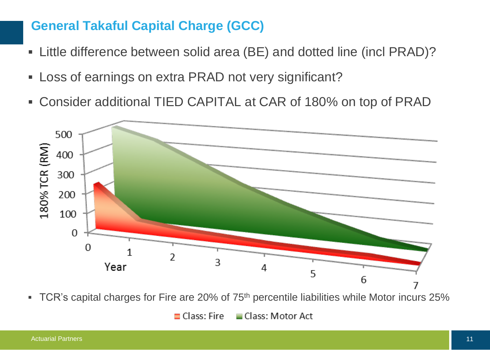### **General Takaful Capital Charge (GCC)**

- Little difference between solid area (BE) and dotted line (incl PRAD)?
- Loss of earnings on extra PRAD not very significant?
- Consider additional TIED CAPITAL at CAR of 180% on top of PRAD



• TCR's capital charges for Fire are 20% of 75<sup>th</sup> percentile liabilities while Motor incurs 25%

 $\blacksquare$  Class: Fire Class: Motor Act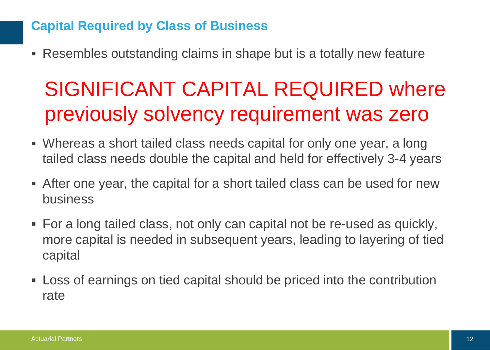## **Capital Required by Class of Business**

Resembles outstanding claims in shape but is a totally new feature

# SIGNIFICANT CAPITAL REQUIRED where previously solvency requirement was zero

- Whereas a short tailed class needs capital for only one year, a long tailed class needs double the capital and held for effectively 3-4 years
- After one year, the capital for a short tailed class can be used for new business
- For a long tailed class, not only can capital not be re-used as quickly, more capital is needed in subsequent years, leading to layering of tied capital
- Loss of earnings on tied capital should be priced into the contribution rate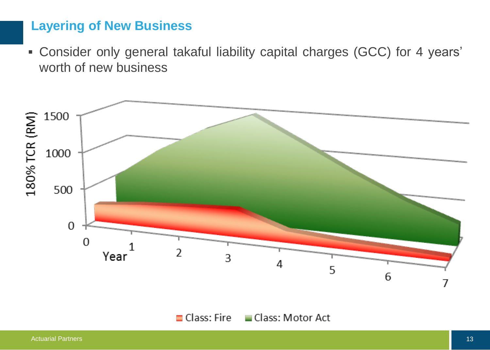### **Layering of New Business**

 Consider only general takaful liability capital charges (GCC) for 4 years' worth of new business



 $\Box$  Class: Fire  $\Box$  Class: Motor Act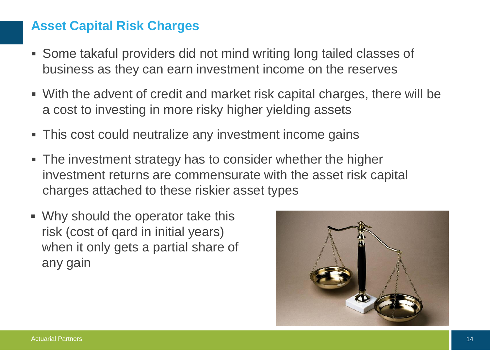### **Asset Capital Risk Charges**

- Some takaful providers did not mind writing long tailed classes of business as they can earn investment income on the reserves
- With the advent of credit and market risk capital charges, there will be a cost to investing in more risky higher yielding assets
- This cost could neutralize any investment income gains
- The investment strategy has to consider whether the higher investment returns are commensurate with the asset risk capital charges attached to these riskier asset types
- Why should the operator take this risk (cost of qard in initial years) when it only gets a partial share of any gain

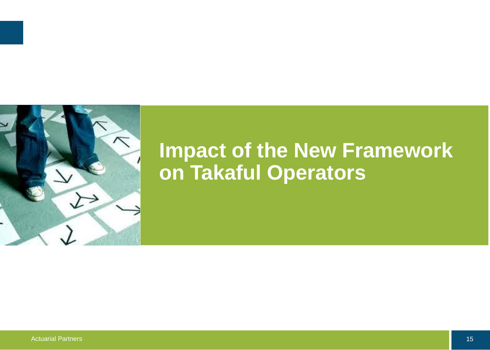

# **Impact of the New Framework on Takaful Operators**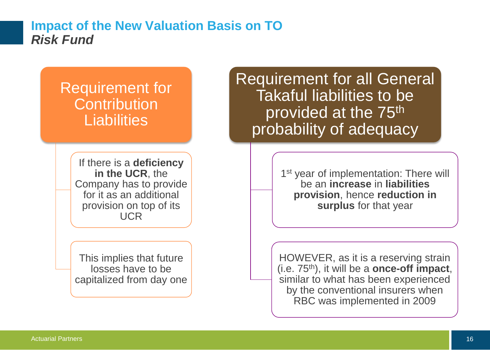#### **Impact of the New Valuation Basis on TO** *Risk Fund*

# Requirement for **Contribution Liabilities**

If there is a **deficiency in the UCR**, the Company has to provide for it as an additional provision on top of its UCR

This implies that future losses have to be capitalized from day one Requirement for all General Takaful liabilities to be provided at the 75<sup>th</sup> probability of adequacy

> 1<sup>st</sup> year of implementation: There will be an **increase** in **liabilities provision**, hence **reduction in surplus** for that year

HOWEVER, as it is a reserving strain (i.e. 75th), it will be a **once-off impact**, similar to what has been experienced by the conventional insurers when RBC was implemented in 2009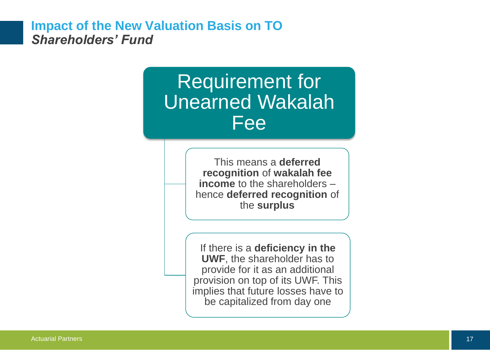#### **Impact of the New Valuation Basis on TO** *Shareholders' Fund*

# Requirement for Unearned Wakalah Fee

This means a **deferred recognition** of **wakalah fee income** to the shareholders – hence **deferred recognition** of the **surplus**

If there is a **deficiency in the UWF**, the shareholder has to provide for it as an additional provision on top of its UWF. This implies that future losses have to be capitalized from day one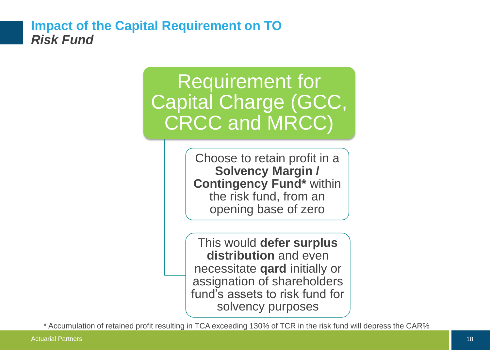#### **Impact of the Capital Requirement on TO** *Risk Fund*

# Requirement for Capital Charge (GCC, CRCC and MRCC)

Choose to retain profit in a **Solvency Margin / Contingency Fund\*** within the risk fund, from an opening base of zero

This would **defer surplus distribution** and even necessitate **qard** initially or assignation of shareholders fund's assets to risk fund for solvency purposes

\* Accumulation of retained profit resulting in TCA exceeding 130% of TCR in the risk fund will depress the CAR%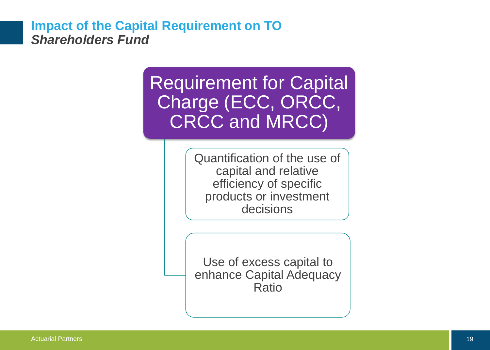#### **Impact of the Capital Requirement on TO** *Shareholders Fund*

Requirement for Capital Charge (ECC, ORCC, CRCC and MRCC)

> Quantification of the use of capital and relative efficiency of specific products or investment decisions

> Use of excess capital to enhance Capital Adequacy Ratio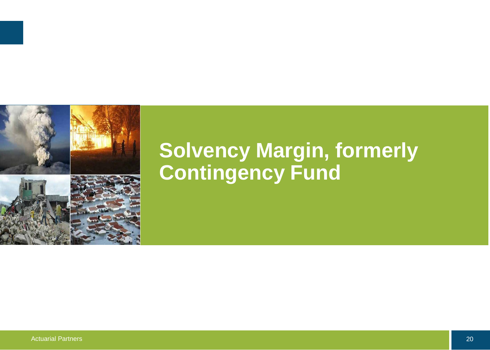

# **Solvency Margin, formerly Contingency Fund**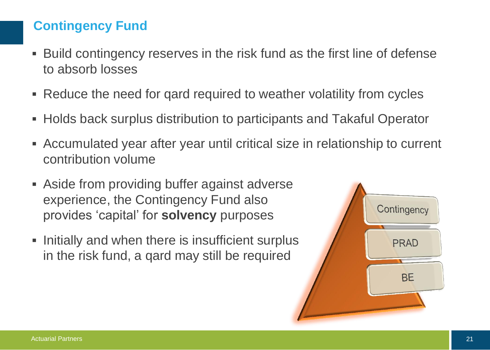## **Contingency Fund**

- Build contingency reserves in the risk fund as the first line of defense to absorb losses
- Reduce the need for qard required to weather volatility from cycles
- Holds back surplus distribution to participants and Takaful Operator
- Accumulated year after year until critical size in relationship to current contribution volume
- Aside from providing buffer against adverse experience, the Contingency Fund also provides 'capital' for **solvency** purposes
- **Initially and when there is insufficient surplus** in the risk fund, a qard may still be required

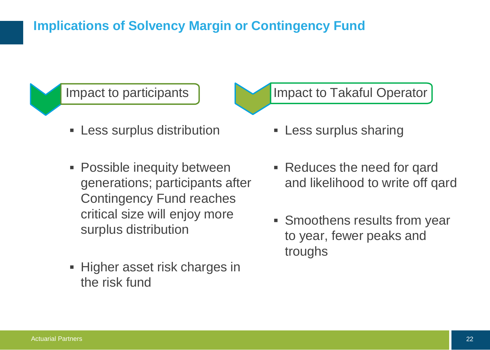# **Implications of Solvency Margin or Contingency Fund**



- **EXEC** surplus distribution
- **Possible inequity between** generations; participants after Contingency Fund reaches critical size will enjoy more surplus distribution
- Higher asset risk charges in the risk fund

### Impact to Takaful Operator

- **Less surplus sharing**
- Reduces the need for gard and likelihood to write off qard
- Smoothens results from year to year, fewer peaks and troughs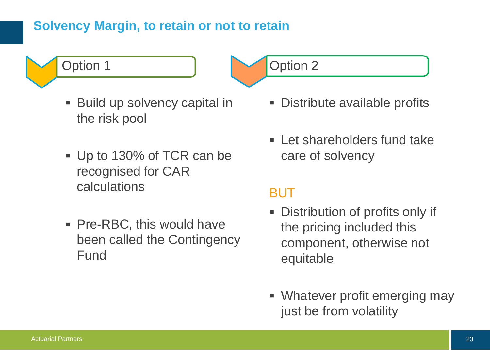### **Solvency Margin, to retain or not to retain**



- Build up solvency capital in the risk pool
- Up to 130% of TCR can be recognised for CAR calculations
- **Pre-RBC, this would have** been called the Contingency Fund

Option 2

- Distribute available profits
- **Example 1 Let shareholders fund take** care of solvency

# BUT

- Distribution of profits only if the pricing included this component, otherwise not equitable
- Whatever profit emerging may just be from volatility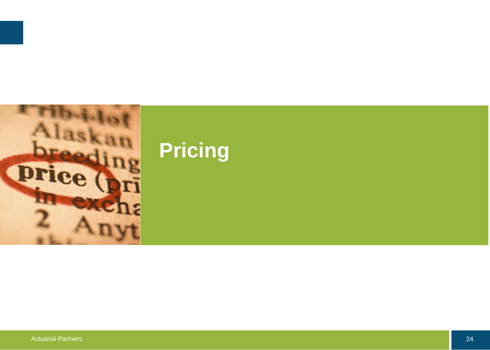

# **Pricing**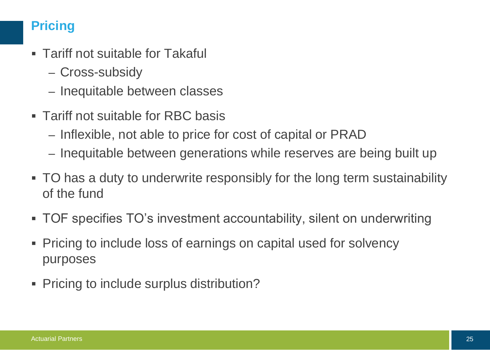## **Pricing**

- Tariff not suitable for Takaful
	- Cross-subsidy
	- Inequitable between classes
- Tariff not suitable for RBC basis
	- Inflexible, not able to price for cost of capital or PRAD
	- Inequitable between generations while reserves are being built up
- TO has a duty to underwrite responsibly for the long term sustainability of the fund
- TOF specifies TO's investment accountability, silent on underwriting
- Pricing to include loss of earnings on capital used for solvency purposes
- **Pricing to include surplus distribution?**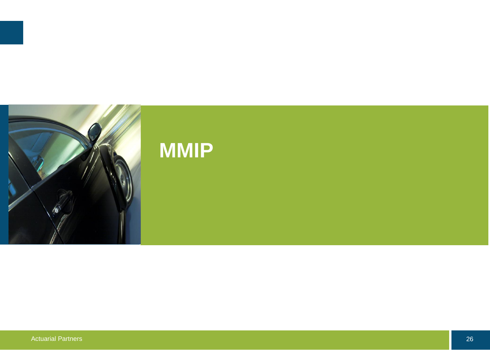

# **MMIP**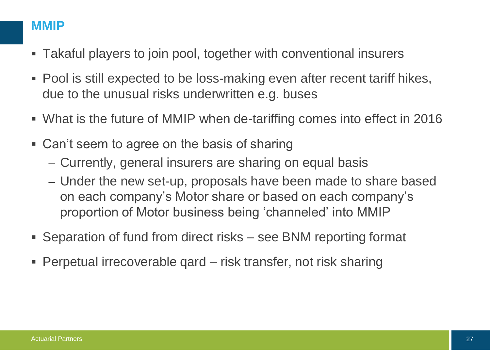### **MMIP**

- Takaful players to join pool, together with conventional insurers
- Pool is still expected to be loss-making even after recent tariff hikes, due to the unusual risks underwritten e.g. buses
- What is the future of MMIP when de-tariffing comes into effect in 2016
- Can't seem to agree on the basis of sharing
	- Currently, general insurers are sharing on equal basis
	- Under the new set-up, proposals have been made to share based on each company's Motor share or based on each company's proportion of Motor business being 'channeled' into MMIP
- Separation of fund from direct risks see BNM reporting format
- Perpetual irrecoverable qard risk transfer, not risk sharing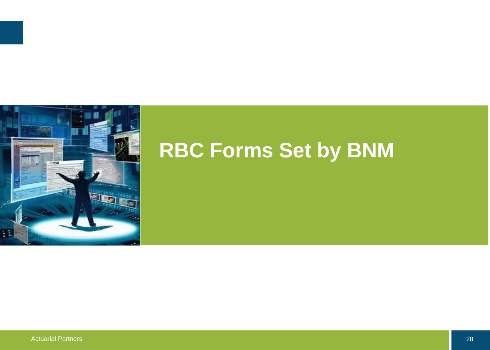

# **RBC Forms Set by BNM**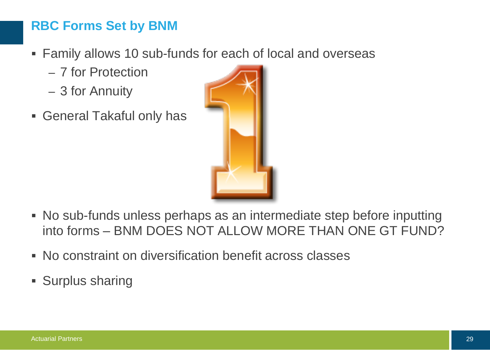## **RBC Forms Set by BNM**

- Family allows 10 sub-funds for each of local and overseas
	- 7 for Protection
	- 3 for Annuity
- General Takaful only has



- No sub-funds unless perhaps as an intermediate step before inputting into forms – BNM DOES NOT ALLOW MORE THAN ONE GT FUND?
- No constraint on diversification benefit across classes
- Surplus sharing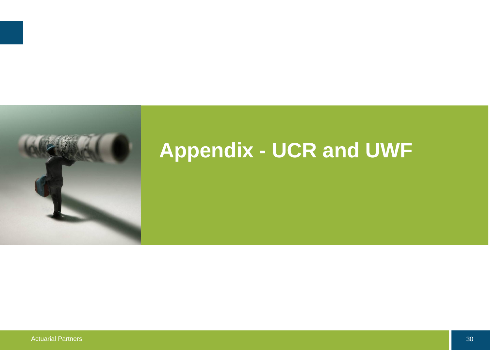

# **Appendix - UCR and UWF**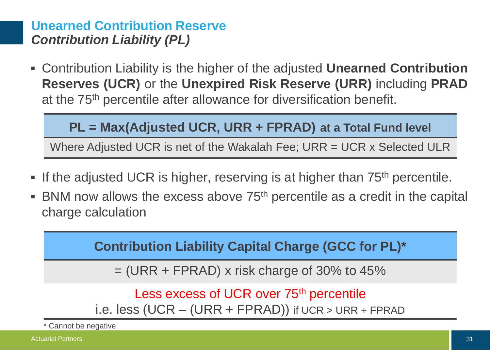## **Unearned Contribution Reserve** *Contribution Liability (PL)*

 Contribution Liability is the higher of the adjusted **Unearned Contribution Reserves (UCR)** or the **Unexpired Risk Reserve (URR)** including **PRAD** at the 75th percentile after allowance for diversification benefit.

### **PL = Max(Adjusted UCR, URR + FPRAD) at a Total Fund level**

Where Adjusted UCR is net of the Wakalah Fee; URR = UCR x Selected ULR

- If the adjusted UCR is higher, reserving is at higher than 75<sup>th</sup> percentile.
- **BNM** now allows the excess above  $75<sup>th</sup>$  percentile as a credit in the capital charge calculation

**Contribution Liability Capital Charge (GCC for PL)\***

 $=$  (URR + FPRAD) x risk charge of 30% to 45%

Less excess of UCR over 75<sup>th</sup> percentile i.e. less (UCR – (URR + FPRAD)) if UCR > URR + FPRAD

\* Cannot be negative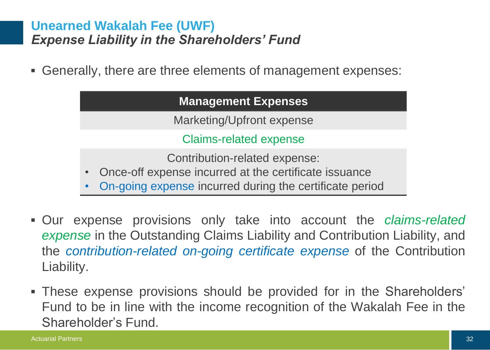### **Unearned Wakalah Fee (UWF)** *Expense Liability in the Shareholders' Fund*

Generally, there are three elements of management expenses:

| <b>Management Expenses</b>                                 |
|------------------------------------------------------------|
| Marketing/Upfront expense                                  |
| <b>Claims-related expense</b>                              |
| Contribution-related expense:                              |
| • Once-off expense incurred at the certificate issuance    |
| . On going overage inquiried during the corriticate period |

- On-going expense incurred during the certificate period
- Our expense provisions only take into account the *claims-related expense* in the Outstanding Claims Liability and Contribution Liability, and the *contribution-related on-going certificate expense* of the Contribution Liability.
- These expense provisions should be provided for in the Shareholders' Fund to be in line with the income recognition of the Wakalah Fee in the Shareholder's Fund.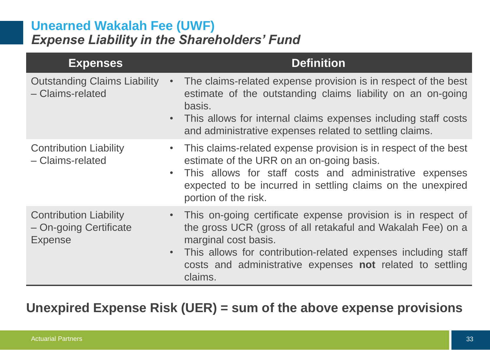### **Unearned Wakalah Fee (UWF)** *Expense Liability in the Shareholders' Fund*

| <b>Expenses</b>                                                                        | <b>Definition</b>                                                                                                                                                                                                                                                                                         |
|----------------------------------------------------------------------------------------|-----------------------------------------------------------------------------------------------------------------------------------------------------------------------------------------------------------------------------------------------------------------------------------------------------------|
| <b>Outstanding Claims Liability</b><br>$\bullet$<br>- Claims-related<br>$\bullet$      | The claims-related expense provision is in respect of the best<br>estimate of the outstanding claims liability on an on-going<br>basis.<br>This allows for internal claims expenses including staff costs<br>and administrative expenses related to settling claims.                                      |
| <b>Contribution Liability</b><br>- Claims-related<br>$\bullet$                         | This claims-related expense provision is in respect of the best<br>$\bullet$<br>estimate of the URR on an on-going basis.<br>This allows for staff costs and administrative expenses<br>expected to be incurred in settling claims on the unexpired<br>portion of the risk.                               |
| <b>Contribution Liability</b><br>- On-going Certificate<br><b>Expense</b><br>$\bullet$ | This on-going certificate expense provision is in respect of<br>$\bullet$<br>the gross UCR (gross of all retakaful and Wakalah Fee) on a<br>marginal cost basis.<br>This allows for contribution-related expenses including staff<br>costs and administrative expenses not related to settling<br>claims. |

## **Unexpired Expense Risk (UER) = sum of the above expense provisions**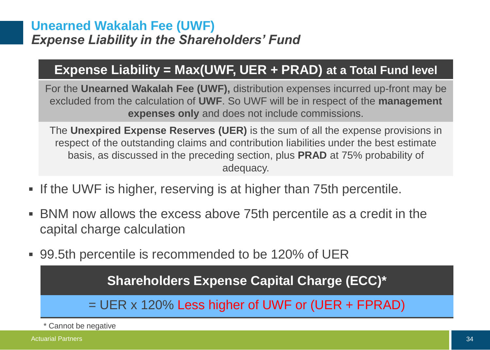### **Unearned Wakalah Fee (UWF)** *Expense Liability in the Shareholders' Fund*

## **Expense Liability = Max(UWF, UER + PRAD) at a Total Fund level**

For the **Unearned Wakalah Fee (UWF),** distribution expenses incurred up-front may be excluded from the calculation of **UWF**. So UWF will be in respect of the **management expenses only** and does not include commissions.

The **Unexpired Expense Reserves (UER)** is the sum of all the expense provisions in respect of the outstanding claims and contribution liabilities under the best estimate basis, as discussed in the preceding section, plus **PRAD** at 75% probability of adequacy.

- **If the UWF is higher, reserving is at higher than 75th percentile.**
- BNM now allows the excess above 75th percentile as a credit in the capital charge calculation
- 99.5th percentile is recommended to be 120% of UER

**Shareholders Expense Capital Charge (ECC)\***

 $=$  UER x 120% Less higher of UWF or (UER + FPRAD)

\* Cannot be negative